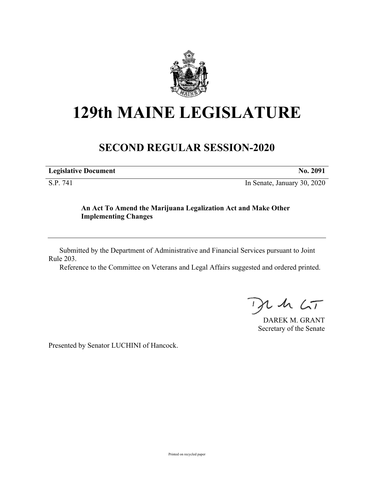

# **129th MAINE LEGISLATURE**

## **SECOND REGULAR SESSION-2020**

**Legislative Document No. 2091**

S.P. 741 In Senate, January 30, 2020

### **An Act To Amend the Marijuana Legalization Act and Make Other Implementing Changes**

Submitted by the Department of Administrative and Financial Services pursuant to Joint Rule 203.

Reference to the Committee on Veterans and Legal Affairs suggested and ordered printed.

 $125$ 

DAREK M. GRANT Secretary of the Senate

Presented by Senator LUCHINI of Hancock.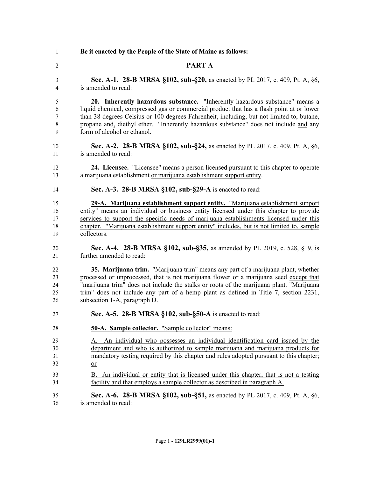**Be it enacted by the People of the State of Maine as follows:**

- **PART A**
- **Sec. A-1. 28-B MRSA §102, sub-§20,** as enacted by PL 2017, c. 409, Pt. A, §6, is amended to read:

 **20. Inherently hazardous substance.** "Inherently hazardous substance" means a liquid chemical, compressed gas or commercial product that has a flash point at or lower than 38 degrees Celsius or 100 degrees Fahrenheit, including, but not limited to, butane, propane and, diethyl ether. "Inherently hazardous substance" does not include and any form of alcohol or ethanol.

- **Sec. A-2. 28-B MRSA §102, sub-§24,** as enacted by PL 2017, c. 409, Pt. A, §6, is amended to read:
- **24. Licensee.** "Licensee" means a person licensed pursuant to this chapter to operate a marijuana establishment or marijuana establishment support entity.
- **Sec. A-3. 28-B MRSA §102, sub-§29-A** is enacted to read:

 **29-A. Marijuana establishment support entity.** "Marijuana establishment support entity" means an individual or business entity licensed under this chapter to provide services to support the specific needs of marijuana establishments licensed under this chapter. "Marijuana establishment support entity" includes, but is not limited to, sample collectors.

 **Sec. A-4. 28-B MRSA §102, sub-§35,** as amended by PL 2019, c. 528, §19, is further amended to read:

 **35. Marijuana trim.** "Marijuana trim" means any part of a marijuana plant, whether processed or unprocessed, that is not marijuana flower or a marijuana seed except that "marijuana trim" does not include the stalks or roots of the marijuana plant. "Marijuana trim" does not include any part of a hemp plant as defined in Title 7, section 2231, subsection 1-A, paragraph D.

- **Sec. A-5. 28-B MRSA §102, sub-§50-A** is enacted to read:
- **50-A. Sample collector.** "Sample collector" means:
- A. An individual who possesses an individual identification card issued by the department and who is authorized to sample marijuana and marijuana products for mandatory testing required by this chapter and rules adopted pursuant to this chapter; or
- B. An individual or entity that is licensed under this chapter, that is not a testing facility and that employs a sample collector as described in paragraph A.
- **Sec. A-6. 28-B MRSA §102, sub-§51,** as enacted by PL 2017, c. 409, Pt. A, §6, is amended to read: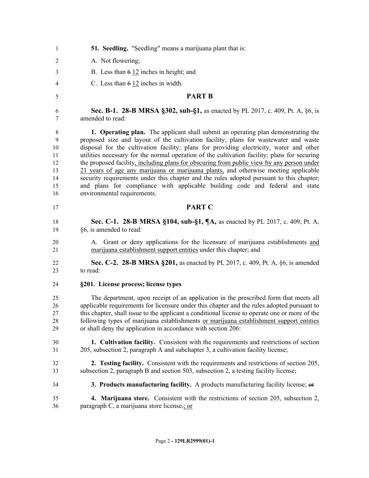| 1  | <b>51. Seedling.</b> "Seedling" means a marijuana plant that is:                               |
|----|------------------------------------------------------------------------------------------------|
| 2  | A. Not flowering;                                                                              |
| 3  | B. Less than $6\overline{12}$ inches in height; and                                            |
| 4  | C. Less than $6\overline{12}$ inches in width.                                                 |
| 5  | <b>PART B</b>                                                                                  |
| 6  | Sec. B-1. 28-B MRSA §302, sub-§1, as enacted by PL 2017, c. 409, Pt. A, §6, is                 |
| 7  | amended to read:                                                                               |
| 8  | <b>1. Operating plan.</b> The applicant shall submit an operating plan demonstrating the       |
| 9  | proposed size and layout of the cultivation facility; plans for wastewater and waste           |
| 10 | disposal for the cultivation facility; plans for providing electricity, water and other        |
| 11 | utilities necessary for the normal operation of the cultivation facility; plans for securing   |
| 12 | the proposed facility, including plans for obscuring from public view by any person under      |
| 13 | 21 years of age any marijuana or marijuana plants, and otherwise meeting applicable            |
| 14 | security requirements under this chapter and the rules adopted pursuant to this chapter;       |
| 15 | and plans for compliance with applicable building code and federal and state                   |
| 16 | environmental requirements.                                                                    |
| 17 | <b>PART C</b>                                                                                  |
| 18 | Sec. C-1. 28-B MRSA §104, sub-§1, ¶A, as enacted by PL 2017, c. 409, Pt. A,                    |
| 19 | §6, is amended to read:                                                                        |
| 20 | A. Grant or deny applications for the licensure of marijuana establishments and                |
| 21 | marijuana establishment support entities under this chapter; and                               |
| 22 | Sec. C-2. 28-B MRSA §201, as enacted by PL 2017, c. 409, Pt. A, §6, is amended                 |
| 23 | to read:                                                                                       |
| 24 | §201. License process; license types                                                           |
| 25 | The department, upon receipt of an application in the prescribed form that meets all           |
| 26 | applicable requirements for licensure under this chapter and the rules adopted pursuant to     |
| 27 | this chapter, shall issue to the applicant a conditional license to operate one or more of the |
| 28 | following types of marijuana establishments or marijuana establishment support entities        |
| 29 | or shall deny the application in accordance with section 206:                                  |
| 30 | 1. Cultivation facility. Consistent with the requirements and restrictions of section          |
| 31 | 205, subsection 2, paragraph A and subchapter 3, a cultivation facility license;               |
| 32 | 2. Testing facility. Consistent with the requirements and restrictions of section 205,         |
| 33 | subsection 2, paragraph B and section 503, subsection 2, a testing facility license;           |
| 34 | 3. Products manufacturing facility. A products manufacturing facility license; or              |
| 35 | 4. Marijuana store. Consistent with the restrictions of section 205, subsection 2,             |
| 36 | paragraph C, a marijuana store license-; or                                                    |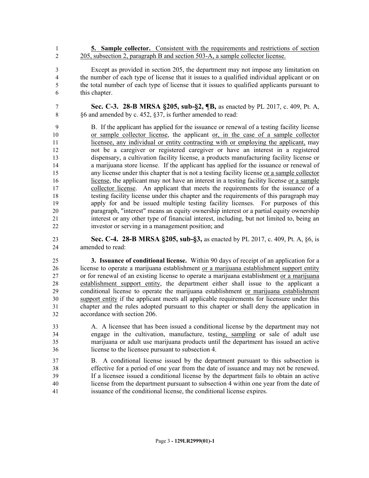- **5. Sample collector.** Consistent with the requirements and restrictions of section 2 205, subsection 2, paragraph B and section 503-A, a sample collector license.
- Except as provided in section 205, the department may not impose any limitation on the number of each type of license that it issues to a qualified individual applicant or on the total number of each type of license that it issues to qualified applicants pursuant to this chapter.
- **Sec. C-3. 28-B MRSA §205, sub-§2, ¶B,** as enacted by PL 2017, c. 409, Pt. A, §6 and amended by c. 452, §37, is further amended to read:

 B. If the applicant has applied for the issuance or renewal of a testing facility license or sample collector license, the applicant or, in the case of a sample collector licensee, any individual or entity contracting with or employing the applicant, may not be a caregiver or registered caregiver or have an interest in a registered dispensary, a cultivation facility license, a products manufacturing facility license or a marijuana store license. If the applicant has applied for the issuance or renewal of any license under this chapter that is not a testing facility license or a sample collector license, the applicant may not have an interest in a testing facility license or a sample collector license. An applicant that meets the requirements for the issuance of a testing facility license under this chapter and the requirements of this paragraph may apply for and be issued multiple testing facility licenses. For purposes of this paragraph, "interest" means an equity ownership interest or a partial equity ownership interest or any other type of financial interest, including, but not limited to, being an investor or serving in a management position; and

 **Sec. C-4. 28-B MRSA §205, sub-§3,** as enacted by PL 2017, c. 409, Pt. A, §6, is amended to read:

 **3. Issuance of conditional license.** Within 90 days of receipt of an application for a license to operate a marijuana establishment or a marijuana establishment support entity or for renewal of an existing license to operate a marijuana establishment or a marijuana establishment support entity, the department either shall issue to the applicant a conditional license to operate the marijuana establishment or marijuana establishment support entity if the applicant meets all applicable requirements for licensure under this chapter and the rules adopted pursuant to this chapter or shall deny the application in accordance with section 206.

- A. A licensee that has been issued a conditional license by the department may not engage in the cultivation, manufacture, testing, sampling or sale of adult use marijuana or adult use marijuana products until the department has issued an active license to the licensee pursuant to subsection 4.
- B. A conditional license issued by the department pursuant to this subsection is effective for a period of one year from the date of issuance and may not be renewed. If a licensee issued a conditional license by the department fails to obtain an active license from the department pursuant to subsection 4 within one year from the date of issuance of the conditional license, the conditional license expires.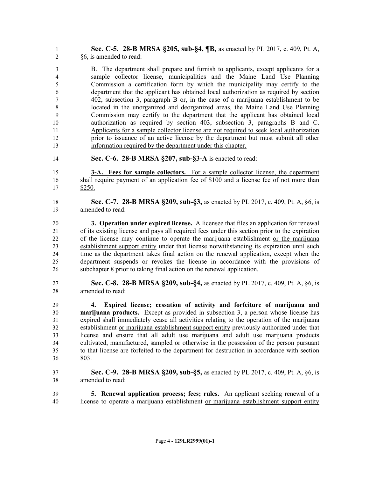**Sec. C-5. 28-B MRSA §205, sub-§4, ¶B,** as enacted by PL 2017, c. 409, Pt. A, §6, is amended to read:

 B. The department shall prepare and furnish to applicants, except applicants for a sample collector license, municipalities and the Maine Land Use Planning Commission a certification form by which the municipality may certify to the department that the applicant has obtained local authorization as required by section 402, subsection 3, paragraph B or, in the case of a marijuana establishment to be located in the unorganized and deorganized areas, the Maine Land Use Planning Commission may certify to the department that the applicant has obtained local authorization as required by section 403, subsection 3, paragraphs B and C. Applicants for a sample collector license are not required to seek local authorization prior to issuance of an active license by the department but must submit all other information required by the department under this chapter.

**Sec. C-6. 28-B MRSA §207, sub-§3-A** is enacted to read:

 **3-A. Fees for sample collectors.** For a sample collector license, the department 16 shall require payment of an application fee of \$100 and a license fee of not more than \$250.

- **Sec. C-7. 28-B MRSA §209, sub-§3,** as enacted by PL 2017, c. 409, Pt. A, §6, is amended to read:
- **3. Operation under expired license.** A licensee that files an application for renewal of its existing license and pays all required fees under this section prior to the expiration of the license may continue to operate the marijuana establishment or the marijuana establishment support entity under that license notwithstanding its expiration until such time as the department takes final action on the renewal application, except when the department suspends or revokes the license in accordance with the provisions of subchapter 8 prior to taking final action on the renewal application.
- **Sec. C-8. 28-B MRSA §209, sub-§4,** as enacted by PL 2017, c. 409, Pt. A, §6, is amended to read:

 **4. Expired license; cessation of activity and forfeiture of marijuana and marijuana products.** Except as provided in subsection 3, a person whose license has expired shall immediately cease all activities relating to the operation of the marijuana establishment or marijuana establishment support entity previously authorized under that license and ensure that all adult use marijuana and adult use marijuana products cultivated, manufactured, sampled or otherwise in the possession of the person pursuant to that license are forfeited to the department for destruction in accordance with section 803.

- **Sec. C-9. 28-B MRSA §209, sub-§5,** as enacted by PL 2017, c. 409, Pt. A, §6, is amended to read:
- **5. Renewal application process; fees; rules.** An applicant seeking renewal of a license to operate a marijuana establishment or marijuana establishment support entity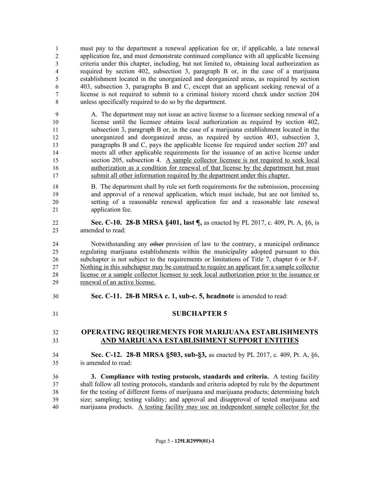must pay to the department a renewal application fee or, if applicable, a late renewal application fee, and must demonstrate continued compliance with all applicable licensing criteria under this chapter, including, but not limited to, obtaining local authorization as required by section 402, subsection 3, paragraph B or, in the case of a marijuana establishment located in the unorganized and deorganized areas, as required by section 403, subsection 3, paragraphs B and C, except that an applicant seeking renewal of a license is not required to submit to a criminal history record check under section 204 unless specifically required to do so by the department.

 A. The department may not issue an active license to a licensee seeking renewal of a license until the licensee obtains local authorization as required by section 402, subsection 3, paragraph B or, in the case of a marijuana establishment located in the unorganized and deorganized areas, as required by section 403, subsection 3, paragraphs B and C, pays the applicable license fee required under section 207 and meets all other applicable requirements for the issuance of an active license under section 205, subsection 4. A sample collector licensee is not required to seek local authorization as a condition for renewal of that license by the department but must submit all other information required by the department under this chapter.

- B. The department shall by rule set forth requirements for the submission, processing and approval of a renewal application, which must include, but are not limited to, setting of a reasonable renewal application fee and a reasonable late renewal application fee.
- **Sec. C-10. 28-B MRSA §401, last ¶,** as enacted by PL 2017, c. 409, Pt. A, §6, is amended to read:

 Notwithstanding any other provision of law to the contrary, a municipal ordinance regulating marijuana establishments within the municipality adopted pursuant to this subchapter is not subject to the requirements or limitations of Title 7, chapter 6 or 8-F. Nothing in this subchapter may be construed to require an applicant for a sample collector license or a sample collector licensee to seek local authorization prior to the issuance or renewal of an active license.

**Sec. C-11. 28-B MRSA c. 1, sub-c. 5, headnote** is amended to read:

#### **SUBCHAPTER 5**

 **OPERATING REQUIREMENTS FOR MARIJUANA ESTABLISHMENTS AND MARIJUANA ESTABLISHMENT SUPPORT ENTITIES**

 **Sec. C-12. 28-B MRSA §503, sub-§3,** as enacted by PL 2017, c. 409, Pt. A, §6, is amended to read:

 **3. Compliance with testing protocols, standards and criteria.** A testing facility shall follow all testing protocols, standards and criteria adopted by rule by the department for the testing of different forms of marijuana and marijuana products; determining batch size; sampling; testing validity; and approval and disapproval of tested marijuana and marijuana products. A testing facility may use an independent sample collector for the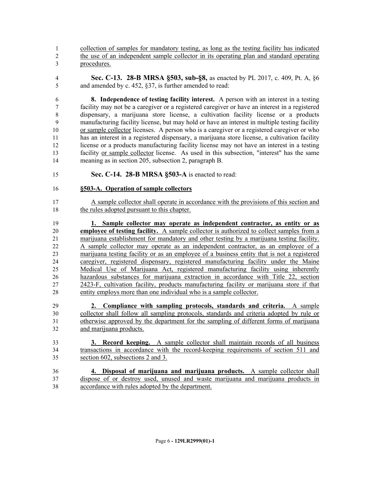collection of samples for mandatory testing, as long as the testing facility has indicated the use of an independent sample collector in its operating plan and standard operating procedures.

 **Sec. C-13. 28-B MRSA §503, sub-§8,** as enacted by PL 2017, c. 409, Pt. A, §6 and amended by c. 452, §37, is further amended to read:

 **8. Independence of testing facility interest.** A person with an interest in a testing facility may not be a caregiver or a registered caregiver or have an interest in a registered dispensary, a marijuana store license, a cultivation facility license or a products manufacturing facility license, but may hold or have an interest in multiple testing facility or sample collector licenses. A person who is a caregiver or a registered caregiver or who has an interest in a registered dispensary, a marijuana store license, a cultivation facility license or a products manufacturing facility license may not have an interest in a testing facility or sample collector license. As used in this subsection, "interest" has the same meaning as in section 205, subsection 2, paragraph B.

**Sec. C-14. 28-B MRSA §503-A** is enacted to read:

#### **§503-A. Operation of sample collectors**

 A sample collector shall operate in accordance with the provisions of this section and the rules adopted pursuant to this chapter.

 **1. Sample collector may operate as independent contractor, as entity or as employee of testing facility.** A sample collector is authorized to collect samples from a marijuana establishment for mandatory and other testing by a marijuana testing facility. A sample collector may operate as an independent contractor, as an employee of a marijuana testing facility or as an employee of a business entity that is not a registered caregiver, registered dispensary, registered manufacturing facility under the Maine Medical Use of Marijuana Act, registered manufacturing facility using inherently hazardous substances for marijuana extraction in accordance with Title 22, section 2423-F, cultivation facility, products manufacturing facility or marijuana store if that entity employs more than one individual who is a sample collector.

- **2. Compliance with sampling protocols, standards and criteria.** A sample collector shall follow all sampling protocols, standards and criteria adopted by rule or otherwise approved by the department for the sampling of different forms of marijuana and marijuana products.
- **3. Record keeping.** A sample collector shall maintain records of all business transactions in accordance with the record-keeping requirements of section 511 and section 602, subsections 2 and 3.
- **4. Disposal of marijuana and marijuana products.** A sample collector shall dispose of or destroy used, unused and waste marijuana and marijuana products in accordance with rules adopted by the department.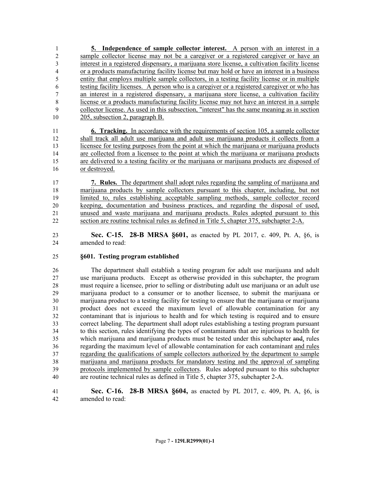**5. Independence of sample collector interest.** A person with an interest in a sample collector license may not be a caregiver or a registered caregiver or have an interest in a registered dispensary, a marijuana store license, a cultivation facility license or a products manufacturing facility license but may hold or have an interest in a business entity that employs multiple sample collectors, in a testing facility license or in multiple testing facility licenses. A person who is a caregiver or a registered caregiver or who has an interest in a registered dispensary, a marijuana store license, a cultivation facility license or a products manufacturing facility license may not have an interest in a sample collector license. As used in this subsection, "interest" has the same meaning as in section 205, subsection 2, paragraph B.

 **6. Tracking.** In accordance with the requirements of section 105, a sample collector shall track all adult use marijuana and adult use marijuana products it collects from a licensee for testing purposes from the point at which the marijuana or marijuana products are collected from a licensee to the point at which the marijuana or marijuana products are delivered to a testing facility or the marijuana or marijuana products are disposed of or destroyed.

 **7. Rules.** The department shall adopt rules regarding the sampling of marijuana and marijuana products by sample collectors pursuant to this chapter, including, but not limited to, rules establishing acceptable sampling methods, sample collector record keeping, documentation and business practices, and regarding the disposal of used, unused and waste marijuana and marijuana products. Rules adopted pursuant to this section are routine technical rules as defined in Title 5, chapter 375, subchapter 2-A.

 **Sec. C-15. 28-B MRSA §601,** as enacted by PL 2017, c. 409, Pt. A, §6, is amended to read:

#### **§601. Testing program established**

 The department shall establish a testing program for adult use marijuana and adult use marijuana products. Except as otherwise provided in this subchapter, the program must require a licensee, prior to selling or distributing adult use marijuana or an adult use marijuana product to a consumer or to another licensee, to submit the marijuana or marijuana product to a testing facility for testing to ensure that the marijuana or marijuana product does not exceed the maximum level of allowable contamination for any contaminant that is injurious to health and for which testing is required and to ensure correct labeling. The department shall adopt rules establishing a testing program pursuant to this section, rules identifying the types of contaminants that are injurious to health for which marijuana and marijuana products must be tested under this subchapter and, rules regarding the maximum level of allowable contamination for each contaminant and rules regarding the qualifications of sample collectors authorized by the department to sample marijuana and marijuana products for mandatory testing and the approval of sampling protocols implemented by sample collectors. Rules adopted pursuant to this subchapter are routine technical rules as defined in Title 5, chapter 375, subchapter 2-A.

 **Sec. C-16. 28-B MRSA §604,** as enacted by PL 2017, c. 409, Pt. A, §6, is amended to read: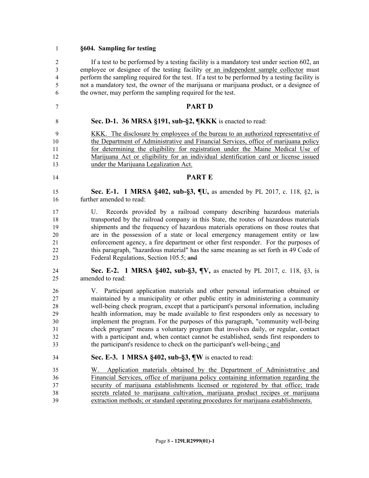#### **§604. Sampling for testing**

 If a test to be performed by a testing facility is a mandatory test under section 602, an employee or designee of the testing facility or an independent sample collector must perform the sampling required for the test. If a test to be performed by a testing facility is not a mandatory test, the owner of the marijuana or marijuana product, or a designee of the owner, may perform the sampling required for the test.

#### **PART D**

**Sec. D-1. 36 MRSA §191, sub-§2, ¶KKK** is enacted to read:

 KKK. The disclosure by employees of the bureau to an authorized representative of the Department of Administrative and Financial Services, office of marijuana policy for determining the eligibility for registration under the Maine Medical Use of Marijuana Act or eligibility for an individual identification card or license issued under the Marijuana Legalization Act.

- **PART E**
- **Sec. E-1. 1 MRSA §402, sub-§3, ¶U,** as amended by PL 2017, c. 118, §2, is further amended to read:
- U. Records provided by a railroad company describing hazardous materials transported by the railroad company in this State, the routes of hazardous materials shipments and the frequency of hazardous materials operations on those routes that are in the possession of a state or local emergency management entity or law enforcement agency, a fire department or other first responder. For the purposes of this paragraph, "hazardous material" has the same meaning as set forth in 49 Code of Federal Regulations, Section 105.5; and
- **Sec. E-2. 1 MRSA §402, sub-§3, ¶V,** as enacted by PL 2017, c. 118, §3, is amended to read:

 V. Participant application materials and other personal information obtained or maintained by a municipality or other public entity in administering a community well-being check program, except that a participant's personal information, including health information, may be made available to first responders only as necessary to implement the program. For the purposes of this paragraph, "community well-being check program" means a voluntary program that involves daily, or regular, contact with a participant and, when contact cannot be established, sends first responders to 33 the participant's residence to check on the participant's well-being.; and

- **Sec. E-3. 1 MRSA §402, sub-§3, ¶W** is enacted to read:
- W. Application materials obtained by the Department of Administrative and Financial Services, office of marijuana policy containing information regarding the security of marijuana establishments licensed or registered by that office; trade secrets related to marijuana cultivation, marijuana product recipes or marijuana extraction methods; or standard operating procedures for marijuana establishments.